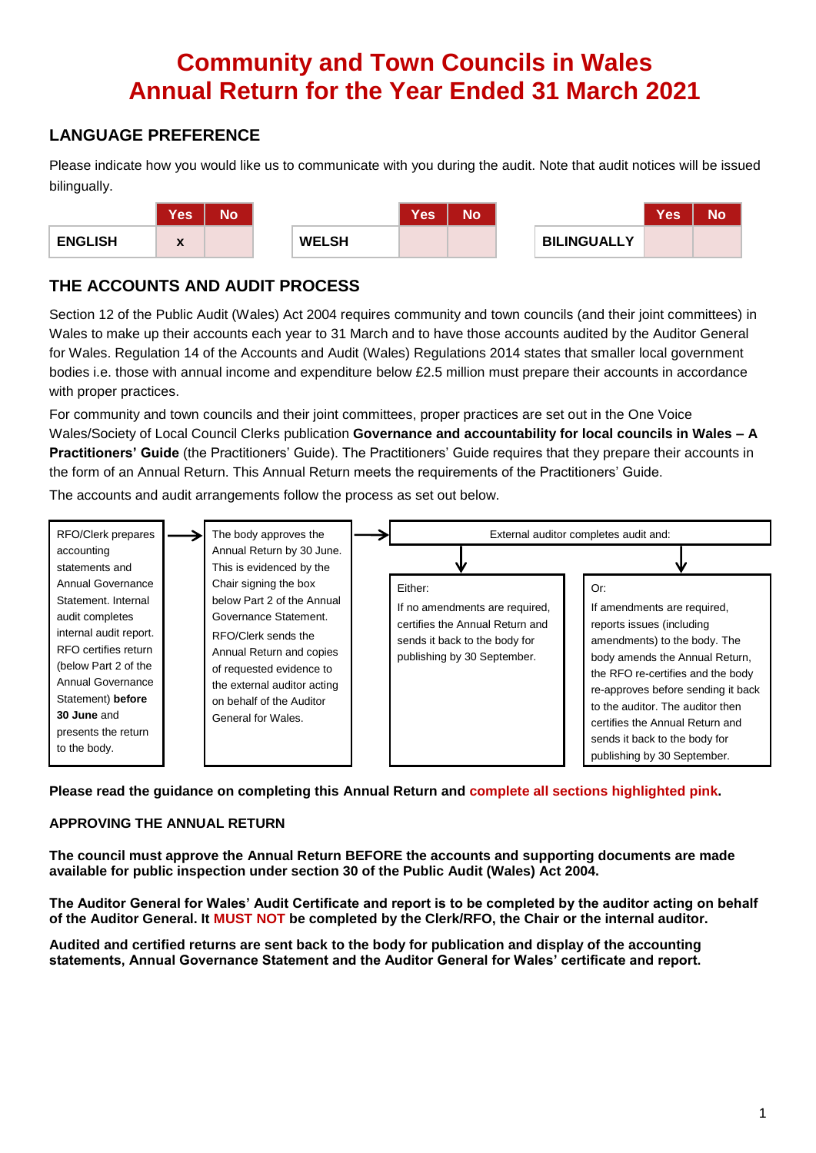# **Community and Town Councils in Wales Annual Return for the Year Ended 31 March 2021**

### **LANGUAGE PREFERENCE**

Please indicate how you would like us to communicate with you during the audit. Note that audit notices will be issued bilingually.



### **THE ACCOUNTS AND AUDIT PROCESS**

Section 12 of the Public Audit (Wales) Act 2004 requires community and town councils (and their joint committees) in Wales to make up their accounts each year to 31 March and to have those accounts audited by the Auditor General for Wales. Regulation 14 of the Accounts and Audit (Wales) Regulations 2014 states that smaller local government bodies i.e. those with annual income and expenditure below £2.5 million must prepare their accounts in accordance with proper practices.

For community and town councils and their joint committees, proper practices are set out in the One Voice Wales/Society of Local Council Clerks publication **Governance and accountability for local councils in Wales – A Practitioners' Guide** (the Practitioners' Guide). The Practitioners' Guide requires that they prepare their accounts in the form of an Annual Return. This Annual Return meets the requirements of the Practitioners' Guide.

The accounts and audit arrangements follow the process as set out below.



**Please read the guidance on completing this Annual Return and complete all sections highlighted pink.**

### **APPROVING THE ANNUAL RETURN**

**The council must approve the Annual Return BEFORE the accounts and supporting documents are made available for public inspection under section 30 of the Public Audit (Wales) Act 2004.**

**The Auditor General for Wales' Audit Certificate and report is to be completed by the auditor acting on behalf of the Auditor General. It MUST NOT be completed by the Clerk/RFO, the Chair or the internal auditor.**

**Audited and certified returns are sent back to the body for publication and display of the accounting statements, Annual Governance Statement and the Auditor General for Wales' certificate and report.**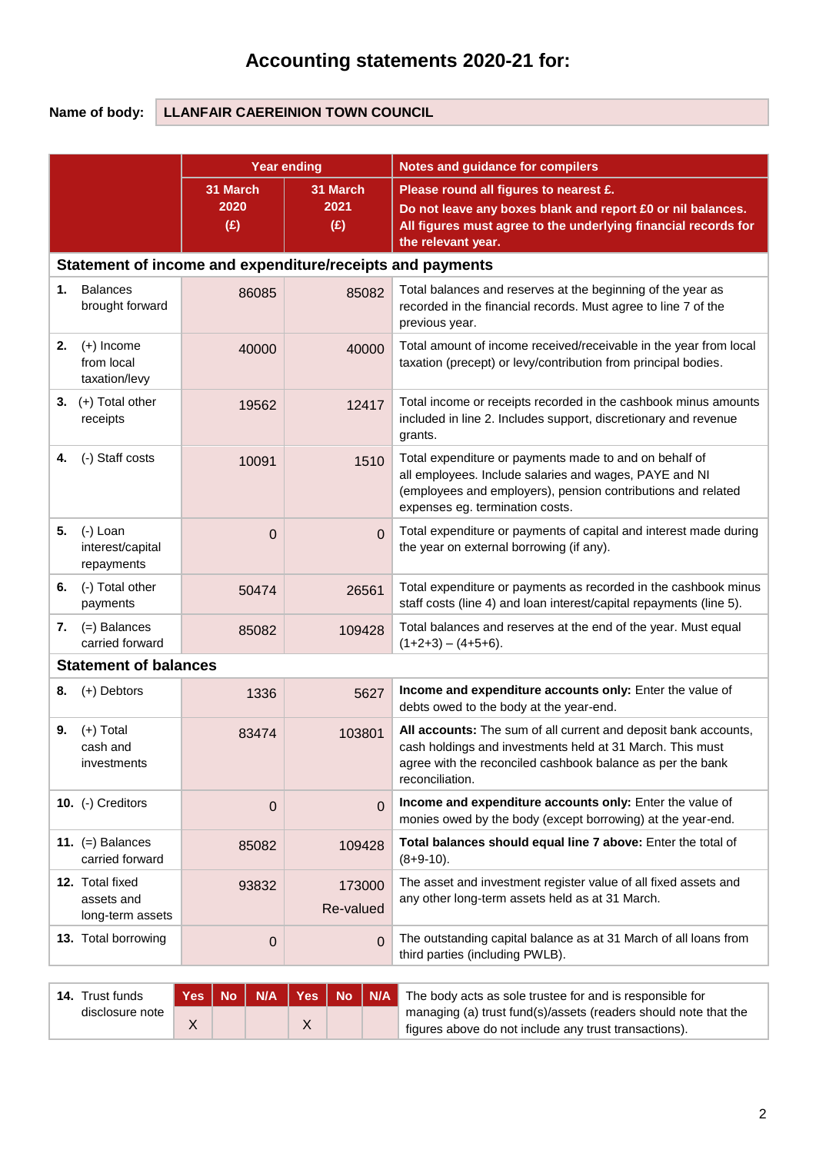# **Accounting statements 2020-21 for:**

### **Name of body: LLANFAIR CAEREINION TOWN COUNCIL**

|    |                                                           | <b>Year ending</b>             |                                | <b>Notes and guidance for compilers</b>                                                                                                                                                                             |  |  |  |  |  |  |
|----|-----------------------------------------------------------|--------------------------------|--------------------------------|---------------------------------------------------------------------------------------------------------------------------------------------------------------------------------------------------------------------|--|--|--|--|--|--|
|    |                                                           | 31 March<br>2020<br>(E)        | 31 March<br>2021<br>(E)        | Please round all figures to nearest £.<br>Do not leave any boxes blank and report £0 or nil balances.<br>All figures must agree to the underlying financial records for<br>the relevant year.                       |  |  |  |  |  |  |
|    | Statement of income and expenditure/receipts and payments |                                |                                |                                                                                                                                                                                                                     |  |  |  |  |  |  |
| 1. | <b>Balances</b><br>brought forward                        | 86085                          | 85082                          | Total balances and reserves at the beginning of the year as<br>recorded in the financial records. Must agree to line 7 of the<br>previous year.                                                                     |  |  |  |  |  |  |
| 2. | $(+)$ Income<br>from local<br>taxation/levy               | 40000                          | 40000                          | Total amount of income received/receivable in the year from local<br>taxation (precept) or levy/contribution from principal bodies.                                                                                 |  |  |  |  |  |  |
|    | 3. $(+)$ Total other<br>receipts                          | 19562                          | 12417                          | Total income or receipts recorded in the cashbook minus amounts<br>included in line 2. Includes support, discretionary and revenue<br>grants.                                                                       |  |  |  |  |  |  |
| 4. | (-) Staff costs                                           | 10091                          | 1510                           | Total expenditure or payments made to and on behalf of<br>all employees. Include salaries and wages, PAYE and NI<br>(employees and employers), pension contributions and related<br>expenses eg. termination costs. |  |  |  |  |  |  |
| 5. | (-) Loan<br>interest/capital<br>repayments                | $\overline{0}$                 | $\Omega$                       | Total expenditure or payments of capital and interest made during<br>the year on external borrowing (if any).                                                                                                       |  |  |  |  |  |  |
| 6. | (-) Total other<br>payments                               | 50474                          | 26561                          | Total expenditure or payments as recorded in the cashbook minus<br>staff costs (line 4) and loan interest/capital repayments (line 5).                                                                              |  |  |  |  |  |  |
| 7. | $(=)$ Balances<br>carried forward                         | 85082                          | 109428                         | Total balances and reserves at the end of the year. Must equal<br>$(1+2+3) - (4+5+6)$ .                                                                                                                             |  |  |  |  |  |  |
|    | <b>Statement of balances</b>                              |                                |                                |                                                                                                                                                                                                                     |  |  |  |  |  |  |
| 8. | (+) Debtors                                               | 1336                           | 5627                           | Income and expenditure accounts only: Enter the value of<br>debts owed to the body at the year-end.                                                                                                                 |  |  |  |  |  |  |
| 9. | $(+)$ Total<br>cash and<br>investments                    | 83474                          | 103801                         | All accounts: The sum of all current and deposit bank accounts,<br>cash holdings and investments held at 31 March. This must<br>agree with the reconciled cashbook balance as per the bank<br>reconciliation.       |  |  |  |  |  |  |
|    | 10. (-) Creditors                                         | $\overline{0}$                 | $\mathbf 0$                    | Income and expenditure accounts only: Enter the value of<br>monies owed by the body (except borrowing) at the year-end.                                                                                             |  |  |  |  |  |  |
|    | 11. $(=)$ Balances<br>carried forward                     | 85082                          | 109428                         | Total balances should equal line 7 above: Enter the total of<br>$(8+9-10)$ .                                                                                                                                        |  |  |  |  |  |  |
|    | 12. Total fixed<br>assets and<br>long-term assets         | 93832                          | 173000<br>Re-valued            | The asset and investment register value of all fixed assets and<br>any other long-term assets held as at 31 March.                                                                                                  |  |  |  |  |  |  |
|    | 13. Total borrowing                                       | $\overline{0}$                 | $\Omega$                       | The outstanding capital balance as at 31 March of all loans from<br>third parties (including PWLB).                                                                                                                 |  |  |  |  |  |  |
|    |                                                           |                                |                                |                                                                                                                                                                                                                     |  |  |  |  |  |  |
|    | 14. Trust funds<br>disclosure note                        | <b>No</b><br>N/A<br><b>Yes</b> | <b>Yes</b><br>N/A<br><b>No</b> | The body acts as sole trustee for and is responsible for<br>managing (a) trust fund(s)/assets (readers should note that the                                                                                         |  |  |  |  |  |  |

X X X Strandard School (Sales Columbus) X 19 (Strandard Associations).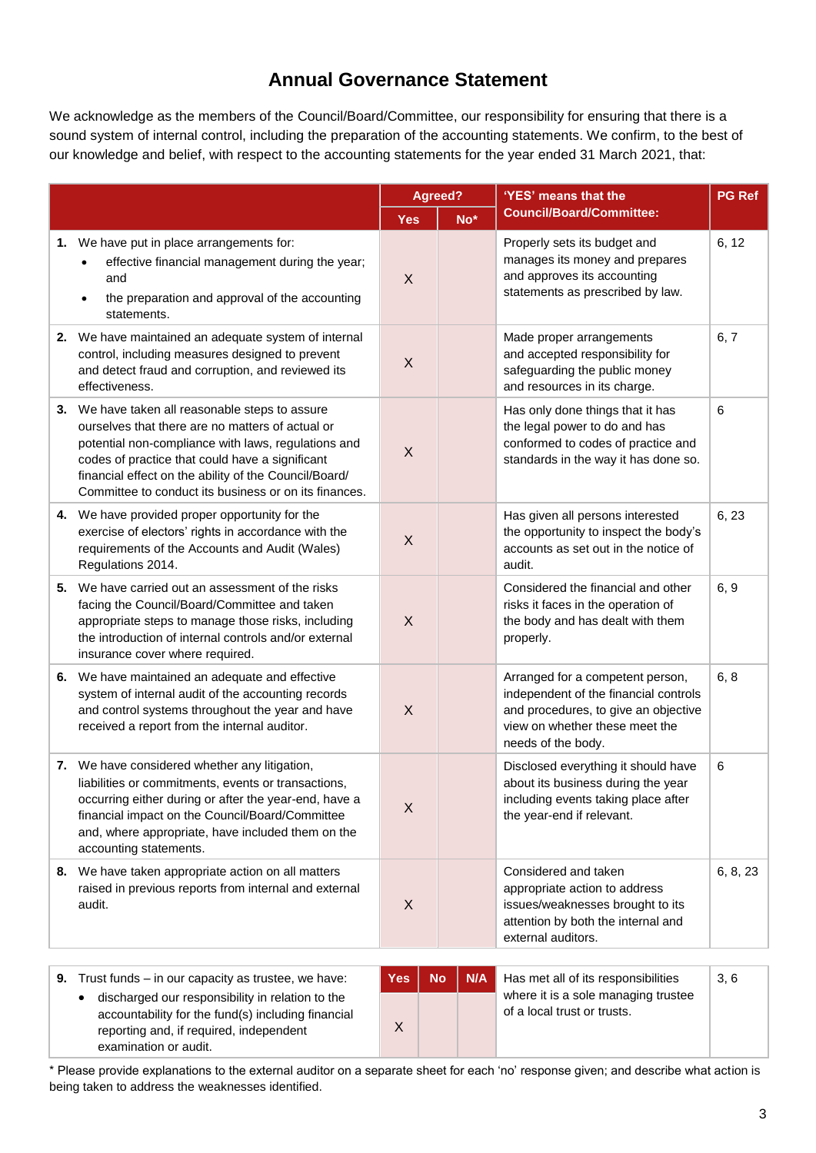### **Annual Governance Statement**

We acknowledge as the members of the Council/Board/Committee, our responsibility for ensuring that there is a sound system of internal control, including the preparation of the accounting statements. We confirm, to the best of our knowledge and belief, with respect to the accounting statements for the year ended 31 March 2021, that:

|                                                                                                                                                                                                                                                                                                                                 |            | Agreed?         | 'YES' means that the                                                                                                                                                      | <b>PG Ref</b> |
|---------------------------------------------------------------------------------------------------------------------------------------------------------------------------------------------------------------------------------------------------------------------------------------------------------------------------------|------------|-----------------|---------------------------------------------------------------------------------------------------------------------------------------------------------------------------|---------------|
|                                                                                                                                                                                                                                                                                                                                 | <b>Yes</b> | No <sup>*</sup> | <b>Council/Board/Committee:</b>                                                                                                                                           |               |
| 1. We have put in place arrangements for:<br>effective financial management during the year;<br>and<br>the preparation and approval of the accounting<br>$\bullet$<br>statements.                                                                                                                                               | X          |                 | Properly sets its budget and<br>manages its money and prepares<br>and approves its accounting<br>statements as prescribed by law.                                         | 6, 12         |
| 2. We have maintained an adequate system of internal<br>control, including measures designed to prevent<br>and detect fraud and corruption, and reviewed its<br>effectiveness.                                                                                                                                                  | X          |                 | Made proper arrangements<br>and accepted responsibility for<br>safeguarding the public money<br>and resources in its charge.                                              | 6, 7          |
| 3. We have taken all reasonable steps to assure<br>ourselves that there are no matters of actual or<br>potential non-compliance with laws, regulations and<br>codes of practice that could have a significant<br>financial effect on the ability of the Council/Board/<br>Committee to conduct its business or on its finances. | $\sf X$    |                 | Has only done things that it has<br>the legal power to do and has<br>conformed to codes of practice and<br>standards in the way it has done so.                           | 6             |
| 4. We have provided proper opportunity for the<br>exercise of electors' rights in accordance with the<br>requirements of the Accounts and Audit (Wales)<br>Regulations 2014.                                                                                                                                                    | $\sf X$    |                 | Has given all persons interested<br>the opportunity to inspect the body's<br>accounts as set out in the notice of<br>audit.                                               | 6, 23         |
| 5. We have carried out an assessment of the risks<br>facing the Council/Board/Committee and taken<br>appropriate steps to manage those risks, including<br>the introduction of internal controls and/or external<br>insurance cover where required.                                                                             | $\sf X$    |                 | Considered the financial and other<br>risks it faces in the operation of<br>the body and has dealt with them<br>properly.                                                 | 6, 9          |
| 6. We have maintained an adequate and effective<br>system of internal audit of the accounting records<br>and control systems throughout the year and have<br>received a report from the internal auditor.                                                                                                                       | X          |                 | Arranged for a competent person,<br>independent of the financial controls<br>and procedures, to give an objective<br>view on whether these meet the<br>needs of the body. | 6, 8          |
| 7. We have considered whether any litigation,<br>liabilities or commitments, events or transactions,<br>occurring either during or after the year-end, have a<br>financial impact on the Council/Board/Committee<br>and, where appropriate, have included them on the<br>accounting statements.                                 | X          |                 | Disclosed everything it should have<br>about its business during the year<br>including events taking place after<br>the year-end if relevant.                             | 6             |
| 8. We have taken appropriate action on all matters<br>raised in previous reports from internal and external<br>audit.                                                                                                                                                                                                           | X          |                 | Considered and taken<br>appropriate action to address<br>issues/weaknesses brought to its<br>attention by both the internal and<br>external auditors.                     | 6, 8, 23      |
|                                                                                                                                                                                                                                                                                                                                 |            |                 |                                                                                                                                                                           |               |

| <b>9.</b> Trust funds $-$ in our capacity as trustee, we have:                                                                                                             | <b>Yes</b> | <b>No</b> | N/A | Has met all of its responsibilities                                | 3, 6 |
|----------------------------------------------------------------------------------------------------------------------------------------------------------------------------|------------|-----------|-----|--------------------------------------------------------------------|------|
| discharged our responsibility in relation to the<br>accountability for the fund(s) including financial<br>reporting and, if required, independent<br>examination or audit. |            |           |     | where it is a sole managing trustee<br>of a local trust or trusts. |      |

\* Please provide explanations to the external auditor on a separate sheet for each 'no' response given; and describe what action is being taken to address the weaknesses identified.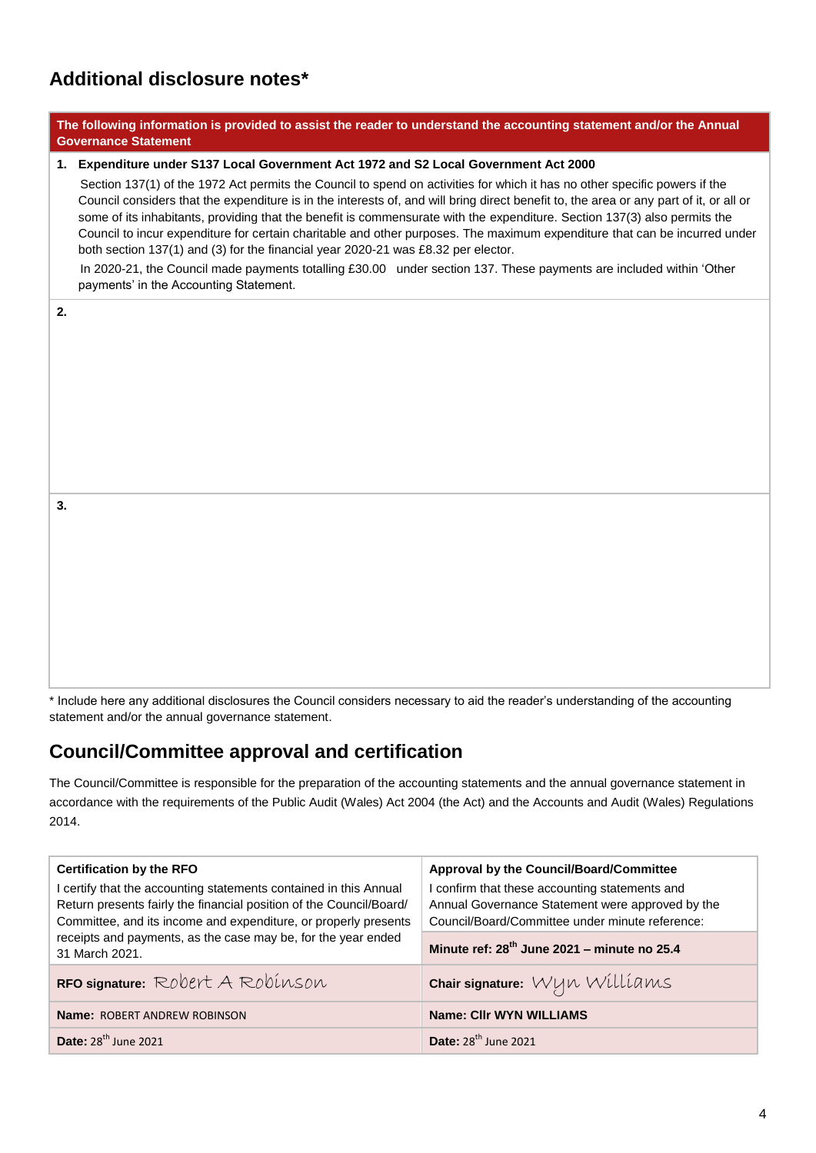# **Additional disclosure notes\***

| The following information is provided to assist the reader to understand the accounting statement and/or the Annual<br><b>Governance Statement</b>                                                                                                                                                                                                                                                                                                                                                                                                                                                                   |  |  |  |  |  |  |  |  |
|----------------------------------------------------------------------------------------------------------------------------------------------------------------------------------------------------------------------------------------------------------------------------------------------------------------------------------------------------------------------------------------------------------------------------------------------------------------------------------------------------------------------------------------------------------------------------------------------------------------------|--|--|--|--|--|--|--|--|
| 1. Expenditure under S137 Local Government Act 1972 and S2 Local Government Act 2000                                                                                                                                                                                                                                                                                                                                                                                                                                                                                                                                 |  |  |  |  |  |  |  |  |
| Section 137(1) of the 1972 Act permits the Council to spend on activities for which it has no other specific powers if the<br>Council considers that the expenditure is in the interests of, and will bring direct benefit to, the area or any part of it, or all or<br>some of its inhabitants, providing that the benefit is commensurate with the expenditure. Section 137(3) also permits the<br>Council to incur expenditure for certain charitable and other purposes. The maximum expenditure that can be incurred under<br>both section 137(1) and (3) for the financial year 2020-21 was £8.32 per elector. |  |  |  |  |  |  |  |  |
| In 2020-21, the Council made payments totalling £30.00 under section 137. These payments are included within 'Other<br>payments' in the Accounting Statement.                                                                                                                                                                                                                                                                                                                                                                                                                                                        |  |  |  |  |  |  |  |  |
|                                                                                                                                                                                                                                                                                                                                                                                                                                                                                                                                                                                                                      |  |  |  |  |  |  |  |  |
|                                                                                                                                                                                                                                                                                                                                                                                                                                                                                                                                                                                                                      |  |  |  |  |  |  |  |  |
|                                                                                                                                                                                                                                                                                                                                                                                                                                                                                                                                                                                                                      |  |  |  |  |  |  |  |  |
|                                                                                                                                                                                                                                                                                                                                                                                                                                                                                                                                                                                                                      |  |  |  |  |  |  |  |  |
|                                                                                                                                                                                                                                                                                                                                                                                                                                                                                                                                                                                                                      |  |  |  |  |  |  |  |  |
|                                                                                                                                                                                                                                                                                                                                                                                                                                                                                                                                                                                                                      |  |  |  |  |  |  |  |  |
|                                                                                                                                                                                                                                                                                                                                                                                                                                                                                                                                                                                                                      |  |  |  |  |  |  |  |  |
|                                                                                                                                                                                                                                                                                                                                                                                                                                                                                                                                                                                                                      |  |  |  |  |  |  |  |  |
|                                                                                                                                                                                                                                                                                                                                                                                                                                                                                                                                                                                                                      |  |  |  |  |  |  |  |  |
|                                                                                                                                                                                                                                                                                                                                                                                                                                                                                                                                                                                                                      |  |  |  |  |  |  |  |  |
|                                                                                                                                                                                                                                                                                                                                                                                                                                                                                                                                                                                                                      |  |  |  |  |  |  |  |  |
|                                                                                                                                                                                                                                                                                                                                                                                                                                                                                                                                                                                                                      |  |  |  |  |  |  |  |  |
|                                                                                                                                                                                                                                                                                                                                                                                                                                                                                                                                                                                                                      |  |  |  |  |  |  |  |  |
|                                                                                                                                                                                                                                                                                                                                                                                                                                                                                                                                                                                                                      |  |  |  |  |  |  |  |  |

\* Include here any additional disclosures the Council considers necessary to aid the reader's understanding of the accounting statement and/or the annual governance statement.

## **Council/Committee approval and certification**

The Council/Committee is responsible for the preparation of the accounting statements and the annual governance statement in accordance with the requirements of the Public Audit (Wales) Act 2004 (the Act) and the Accounts and Audit (Wales) Regulations 2014.

| <b>Certification by the RFO</b>                                                                                                                                                                             | Approval by the Council/Board/Committee                                                                                                               |  |
|-------------------------------------------------------------------------------------------------------------------------------------------------------------------------------------------------------------|-------------------------------------------------------------------------------------------------------------------------------------------------------|--|
| I certify that the accounting statements contained in this Annual<br>Return presents fairly the financial position of the Council/Board/<br>Committee, and its income and expenditure, or properly presents | I confirm that these accounting statements and<br>Annual Governance Statement were approved by the<br>Council/Board/Committee under minute reference: |  |
| receipts and payments, as the case may be, for the year ended<br>31 March 2021.                                                                                                                             | Minute ref: 28 <sup>th</sup> June 2021 - minute no 25.4                                                                                               |  |
| RFO signature: Robert A Robinson                                                                                                                                                                            | Chair signature: Wyn Williams                                                                                                                         |  |
| <b>Name: ROBERT ANDREW ROBINSON</b>                                                                                                                                                                         | <b>Name: Clir WYN WILLIAMS</b>                                                                                                                        |  |
| Date: 28 <sup>th</sup> June 2021                                                                                                                                                                            | Date: $28th$ June 2021                                                                                                                                |  |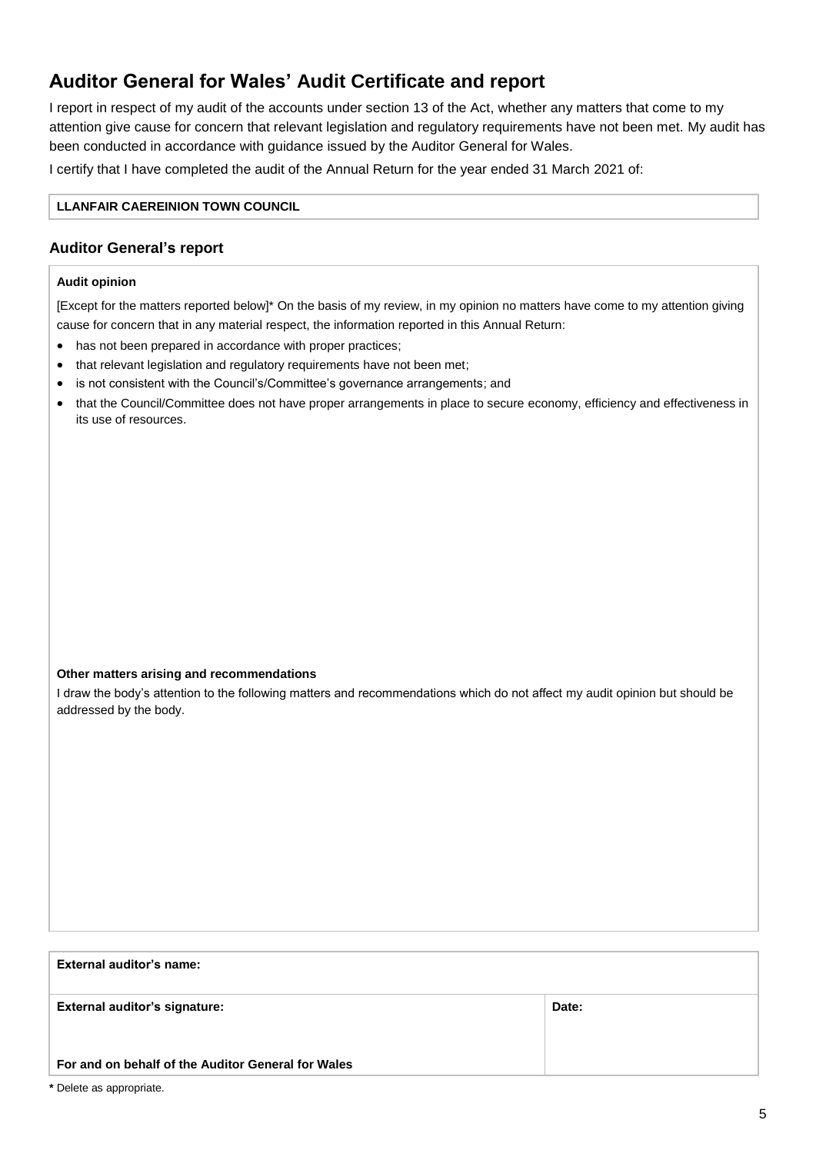# **Auditor General for Wales' Audit Certificate and report**

I report in respect of my audit of the accounts under section 13 of the Act, whether any matters that come to my attention give cause for concern that relevant legislation and regulatory requirements have not been met. My audit has been conducted in accordance with guidance issued by the Auditor General for Wales.

I certify that I have completed the audit of the Annual Return for the year ended 31 March 2021 of:

#### **LLANFAIR CAEREINION TOWN COUNCIL**

### **Auditor General's report**

#### **Audit opinion**

[Except for the matters reported below]\* On the basis of my review, in my opinion no matters have come to my attention giving cause for concern that in any material respect, the information reported in this Annual Return:

- has not been prepared in accordance with proper practices;
- that relevant legislation and regulatory requirements have not been met;
- is not consistent with the Council's/Committee's governance arrangements; and
- that the Council/Committee does not have proper arrangements in place to secure economy, efficiency and effectiveness in its use of resources.

#### **Other matters arising and recommendations**

I draw the body's attention to the following matters and recommendations which do not affect my audit opinion but should be addressed by the body.

#### **External auditor's name:**

| <b>External auditor's signature:</b>               | Date: |
|----------------------------------------------------|-------|
|                                                    |       |
| For and on behalf of the Auditor General for Wales |       |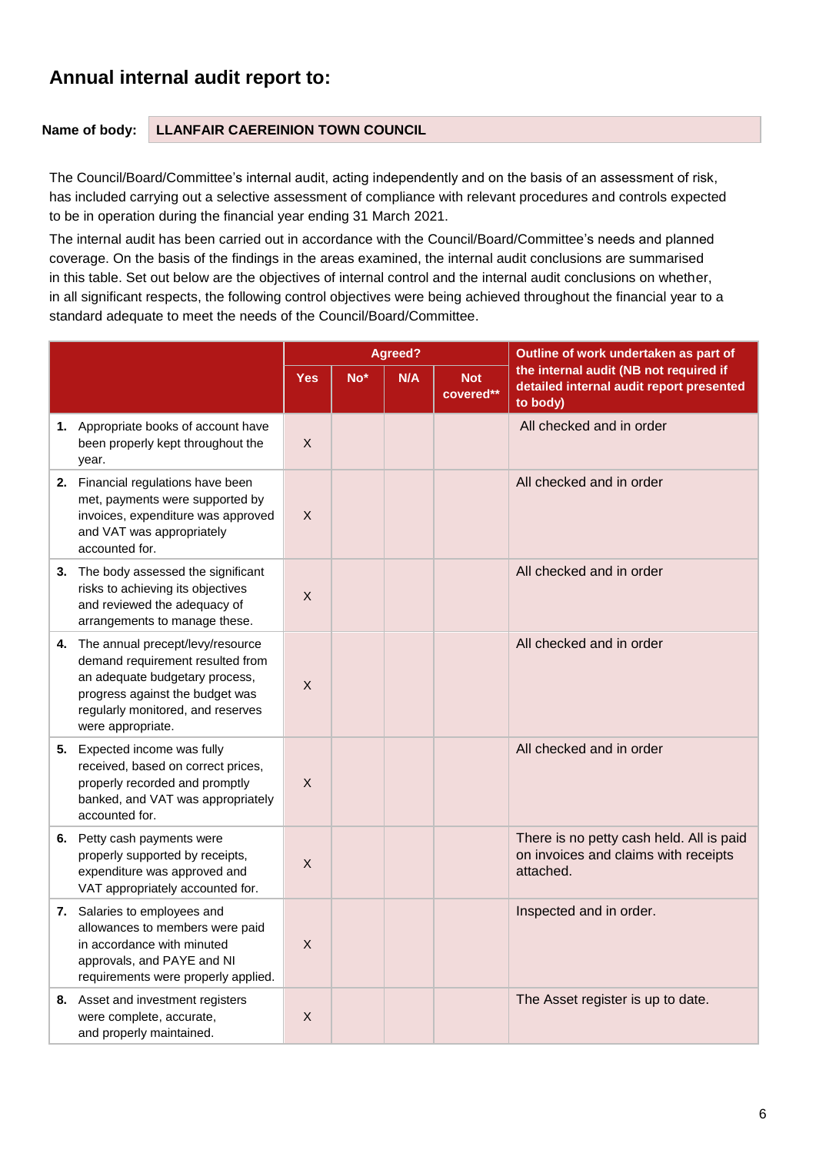## **Annual internal audit report to:**

### **Name of body: LLANFAIR CAEREINION TOWN COUNCIL**

The Council/Board/Committee's internal audit, acting independently and on the basis of an assessment of risk, has included carrying out a selective assessment of compliance with relevant procedures and controls expected to be in operation during the financial year ending 31 March 2021.

The internal audit has been carried out in accordance with the Council/Board/Committee's needs and planned coverage. On the basis of the findings in the areas examined, the internal audit conclusions are summarised in this table. Set out below are the objectives of internal control and the internal audit conclusions on whether, in all significant respects, the following control objectives were being achieved throughout the financial year to a standard adequate to meet the needs of the Council/Board/Committee.

|    |                                                                                                                                                                                                        |            |       | Agreed? |                         | Outline of work undertaken as part of                                                          |  |
|----|--------------------------------------------------------------------------------------------------------------------------------------------------------------------------------------------------------|------------|-------|---------|-------------------------|------------------------------------------------------------------------------------------------|--|
|    |                                                                                                                                                                                                        | <b>Yes</b> | $No*$ | N/A     | <b>Not</b><br>covered** | the internal audit (NB not required if<br>detailed internal audit report presented<br>to body) |  |
|    | 1. Appropriate books of account have<br>been properly kept throughout the<br>year.                                                                                                                     | X          |       |         |                         | All checked and in order                                                                       |  |
|    | 2. Financial regulations have been<br>met, payments were supported by<br>invoices, expenditure was approved<br>and VAT was appropriately<br>accounted for.                                             | X          |       |         |                         | All checked and in order                                                                       |  |
| 3. | The body assessed the significant<br>risks to achieving its objectives<br>and reviewed the adequacy of<br>arrangements to manage these.                                                                | X          |       |         |                         | All checked and in order                                                                       |  |
|    | 4. The annual precept/levy/resource<br>demand requirement resulted from<br>an adequate budgetary process,<br>progress against the budget was<br>regularly monitored, and reserves<br>were appropriate. | X          |       |         |                         | All checked and in order                                                                       |  |
|    | 5. Expected income was fully<br>received, based on correct prices,<br>properly recorded and promptly<br>banked, and VAT was appropriately<br>accounted for.                                            | Χ          |       |         |                         | All checked and in order                                                                       |  |
|    | 6. Petty cash payments were<br>properly supported by receipts,<br>expenditure was approved and<br>VAT appropriately accounted for.                                                                     | X          |       |         |                         | There is no petty cash held. All is paid<br>on invoices and claims with receipts<br>attached.  |  |
|    | 7. Salaries to employees and<br>allowances to members were paid<br>in accordance with minuted<br>approvals, and PAYE and NI<br>requirements were properly applied.                                     | X          |       |         |                         | Inspected and in order.                                                                        |  |
|    | 8. Asset and investment registers<br>were complete, accurate,<br>and properly maintained.                                                                                                              | X          |       |         |                         | The Asset register is up to date.                                                              |  |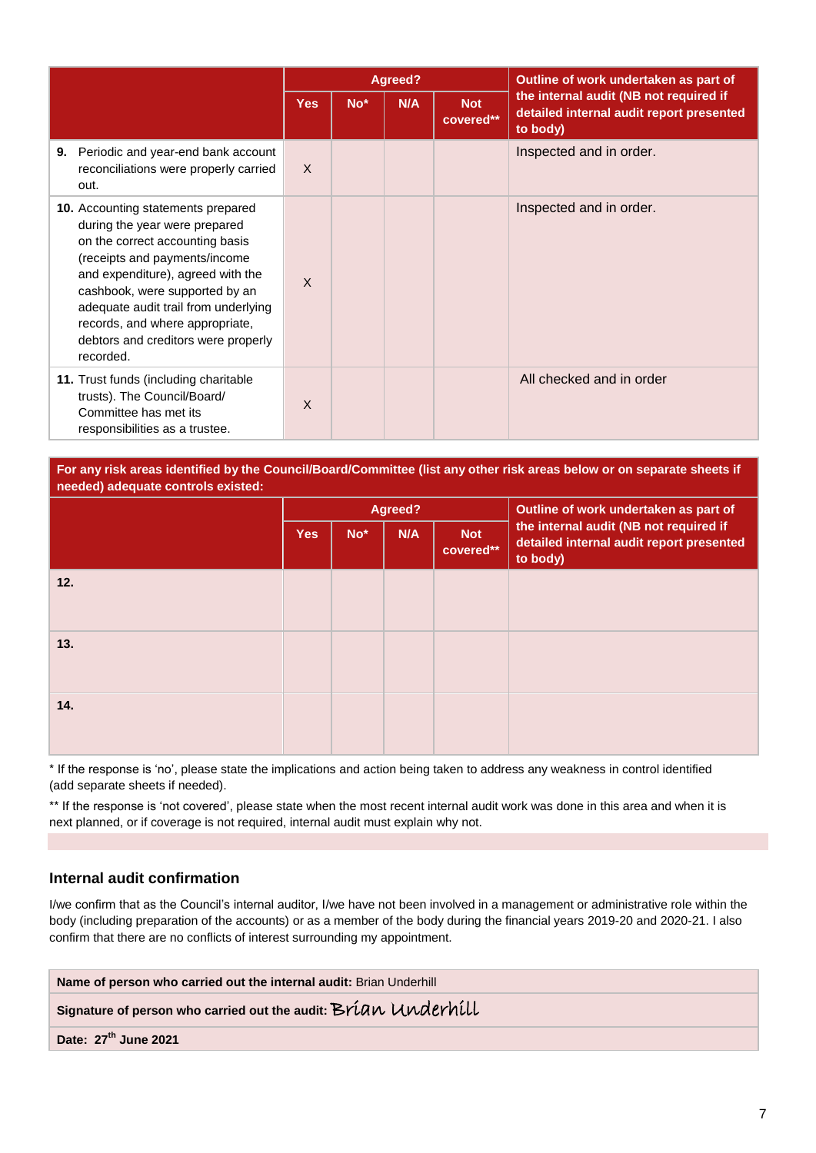|            |                                                                                                                                                                                                                                                                                                                                         |              |                 | Agreed? |                         | Outline of work undertaken as part of                                                          |  |
|------------|-----------------------------------------------------------------------------------------------------------------------------------------------------------------------------------------------------------------------------------------------------------------------------------------------------------------------------------------|--------------|-----------------|---------|-------------------------|------------------------------------------------------------------------------------------------|--|
|            |                                                                                                                                                                                                                                                                                                                                         | <b>Yes</b>   | No <sup>*</sup> | N/A     | <b>Not</b><br>covered** | the internal audit (NB not required if<br>detailed internal audit report presented<br>to body) |  |
| 9.<br>out. | Periodic and year-end bank account<br>reconciliations were properly carried                                                                                                                                                                                                                                                             | $\times$     |                 |         |                         | Inspected and in order.                                                                        |  |
| recorded.  | <b>10.</b> Accounting statements prepared<br>during the year were prepared<br>on the correct accounting basis<br>(receipts and payments/income<br>and expenditure), agreed with the<br>cashbook, were supported by an<br>adequate audit trail from underlying<br>records, and where appropriate,<br>debtors and creditors were properly | $\mathsf{X}$ |                 |         |                         | Inspected and in order.                                                                        |  |
|            | 11. Trust funds (including charitable<br>trusts). The Council/Board/<br>Committee has met its<br>responsibilities as a trustee.                                                                                                                                                                                                         | $\mathsf{x}$ |                 |         |                         | All checked and in order                                                                       |  |

**For any risk areas identified by the Council/Board/Committee (list any other risk areas below or on separate sheets if needed) adequate controls existed:**

|     |            |                 | Agreed? |                         | Outline of work undertaken as part of                                                          |  |
|-----|------------|-----------------|---------|-------------------------|------------------------------------------------------------------------------------------------|--|
|     | <b>Yes</b> | No <sup>*</sup> | N/A     | <b>Not</b><br>covered** | the internal audit (NB not required if<br>detailed internal audit report presented<br>to body) |  |
| 12. |            |                 |         |                         |                                                                                                |  |
| 13. |            |                 |         |                         |                                                                                                |  |
| 14. |            |                 |         |                         |                                                                                                |  |

\* If the response is 'no', please state the implications and action being taken to address any weakness in control identified (add separate sheets if needed).

\*\* If the response is 'not covered', please state when the most recent internal audit work was done in this area and when it is next planned, or if coverage is not required, internal audit must explain why not.

### **Internal audit confirmation**

I/we confirm that as the Council's internal auditor, I/we have not been involved in a management or administrative role within the body (including preparation of the accounts) or as a member of the body during the financial years 2019-20 and 2020-21. I also confirm that there are no conflicts of interest surrounding my appointment.

**Name of person who carried out the internal audit:** Brian Underhill

**Signature of person who carried out the audit:**Brian Underhill

**Date: 27th June 2021**